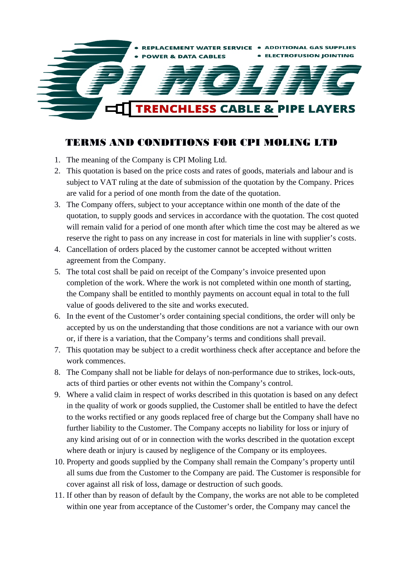

## TERMS AND CONDITIONS FOR CPI MOLING LTD

- 1. The meaning of the Company is CPI Moling Ltd.
- 2. This quotation is based on the price costs and rates of goods, materials and labour and is subject to VAT ruling at the date of submission of the quotation by the Company. Prices are valid for a period of one month from the date of the quotation.
- 3. The Company offers, subject to your acceptance within one month of the date of the quotation, to supply goods and services in accordance with the quotation. The cost quoted will remain valid for a period of one month after which time the cost may be altered as we reserve the right to pass on any increase in cost for materials in line with supplier's costs.
- 4. Cancellation of orders placed by the customer cannot be accepted without written agreement from the Company.
- 5. The total cost shall be paid on receipt of the Company's invoice presented upon completion of the work. Where the work is not completed within one month of starting, the Company shall be entitled to monthly payments on account equal in total to the full value of goods delivered to the site and works executed.
- 6. In the event of the Customer's order containing special conditions, the order will only be accepted by us on the understanding that those conditions are not a variance with our own or, if there is a variation, that the Company's terms and conditions shall prevail.
- 7. This quotation may be subject to a credit worthiness check after acceptance and before the work commences.
- 8. The Company shall not be liable for delays of non-performance due to strikes, lock-outs, acts of third parties or other events not within the Company's control.
- 9. Where a valid claim in respect of works described in this quotation is based on any defect in the quality of work or goods supplied, the Customer shall be entitled to have the defect to the works rectified or any goods replaced free of charge but the Company shall have no further liability to the Customer. The Company accepts no liability for loss or injury of any kind arising out of or in connection with the works described in the quotation except where death or injury is caused by negligence of the Company or its employees.
- 10. Property and goods supplied by the Company shall remain the Company's property until all sums due from the Customer to the Company are paid. The Customer is responsible for cover against all risk of loss, damage or destruction of such goods.
- 11. If other than by reason of default by the Company, the works are not able to be completed within one year from acceptance of the Customer's order, the Company may cancel the